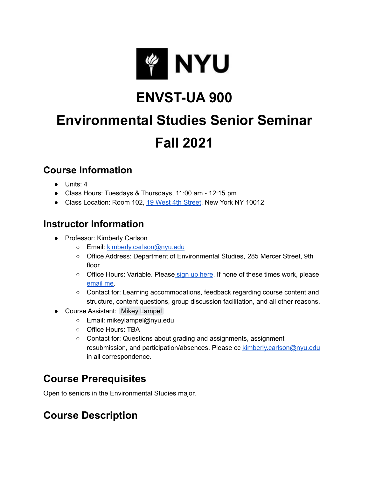

## **ENVST-UA 900**

# **Environmental Studies Senior Seminar Fall 2021**

#### **Course Information**

- Units: 4
- Class Hours: Tuesdays & Thursdays, 11:00 am 12:15 pm
- Class Location: Room 102, 19 West 4th [Street,](https://goo.gl/maps/FV2QWUt6hGe7YBuv5) New York NY 10012

#### **Instructor Information**

- Professor: Kimberly Carlson
	- o Email: [kimberly.carlson@nyu.edu](mailto:kimberly.carlson@nyu.edu)
	- Office Address: Department of Environmental Studies, 285 Mercer Street, 9th floor
	- Office Hours: Variable. Please sign up [here.](https://calendly.com/kimcarlson-nyu/office-hours) If none of these times work, please [email](mailto:kimberly.carlson@nyu.edu) me.
	- Contact for: Learning accommodations, feedback regarding course content and structure, content questions, group discussion facilitation, and all other reasons.
- Course Assistant: Mikey [Lampel](mailto:mikeylampel@nyu.edu)
	- Email: mikeylampel@nyu.edu
	- Office Hours: TBA
	- Contact for: Questions about grading and assignments, assignment resubmission, and participation/absences. Please cc [kimberly.carlson@nyu.edu](mailto:kimberly.carlson@nyu.edu) in all correspondence.

## **Course Prerequisites**

Open to seniors in the Environmental Studies major.

## **Course Description**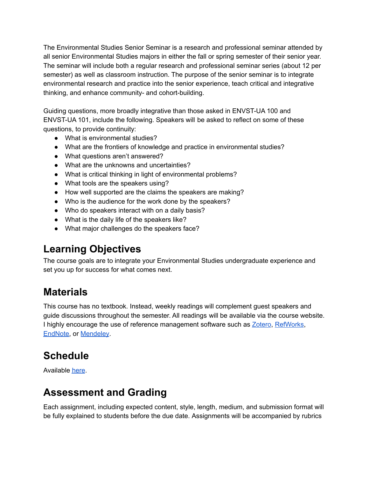The Environmental Studies Senior Seminar is a research and professional seminar attended by all senior Environmental Studies majors in either the fall or spring semester of their senior year. The seminar will include both a regular research and professional seminar series (about 12 per semester) as well as classroom instruction. The purpose of the senior seminar is to integrate environmental research and practice into the senior experience, teach critical and integrative thinking, and enhance community- and cohort-building.

Guiding questions, more broadly integrative than those asked in ENVST-UA 100 and ENVST-UA 101, include the following. Speakers will be asked to reflect on some of these questions, to provide continuity:

- What is environmental studies?
- What are the frontiers of knowledge and practice in environmental studies?
- What questions aren't answered?
- What are the unknowns and uncertainties?
- What is critical thinking in light of environmental problems?
- What tools are the speakers using?
- How well supported are the claims the speakers are making?
- Who is the audience for the work done by the speakers?
- Who do speakers interact with on a daily basis?
- What is the daily life of the speakers like?
- What major challenges do the speakers face?

#### **Learning Objectives**

The course goals are to integrate your Environmental Studies undergraduate experience and set you up for success for what comes next.

#### **Materials**

This course has no textbook. Instead, weekly readings will complement guest speakers and guide discussions throughout the semester. All readings will be available via the course website. I highly encourage the use of reference management software such as **[Zotero](https://www.zotero.org/)**, [RefWorks](https://guides.nyu.edu/refworks), [EndNote,](https://guides.nyu.edu/endnote) or [Mendeley](https://hslguides.med.nyu.edu/citationmanagement/mendeley).

## **Schedule**

Available [here](https://docs.google.com/spreadsheets/d/15nrxRkNPk00vS4cbxM7Ge2UID3K4UNnwBfXAU1yqQn8/edit?usp=sharing).

#### **Assessment and Grading**

Each assignment, including expected content, style, length, medium, and submission format will be fully explained to students before the due date. Assignments will be accompanied by rubrics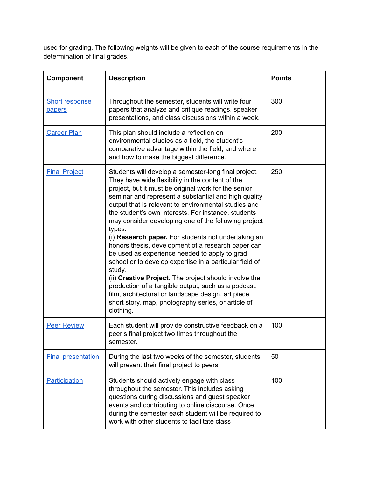used for grading. The following weights will be given to each of the course requirements in the determination of final grades.

| <b>Component</b>                       | <b>Description</b>                                                                                                                                                                                                                                                                                                                                                                                                                                                                                                                                                                                                                                                                                                                                                                                                                                                                      | <b>Points</b> |
|----------------------------------------|-----------------------------------------------------------------------------------------------------------------------------------------------------------------------------------------------------------------------------------------------------------------------------------------------------------------------------------------------------------------------------------------------------------------------------------------------------------------------------------------------------------------------------------------------------------------------------------------------------------------------------------------------------------------------------------------------------------------------------------------------------------------------------------------------------------------------------------------------------------------------------------------|---------------|
| <b>Short response</b><br><b>papers</b> | Throughout the semester, students will write four<br>papers that analyze and critique readings, speaker<br>presentations, and class discussions within a week.                                                                                                                                                                                                                                                                                                                                                                                                                                                                                                                                                                                                                                                                                                                          | 300           |
| <b>Career Plan</b>                     | This plan should include a reflection on<br>environmental studies as a field, the student's<br>comparative advantage within the field, and where<br>and how to make the biggest difference.                                                                                                                                                                                                                                                                                                                                                                                                                                                                                                                                                                                                                                                                                             | 200           |
| <b>Final Project</b>                   | Students will develop a semester-long final project.<br>They have wide flexibility in the content of the<br>project, but it must be original work for the senior<br>seminar and represent a substantial and high quality<br>output that is relevant to environmental studies and<br>the student's own interests. For instance, students<br>may consider developing one of the following project<br>types:<br>(i) Research paper. For students not undertaking an<br>honors thesis, development of a research paper can<br>be used as experience needed to apply to grad<br>school or to develop expertise in a particular field of<br>study.<br>(ii) Creative Project. The project should involve the<br>production of a tangible output, such as a podcast,<br>film, architectural or landscape design, art piece,<br>short story, map, photography series, or article of<br>clothing. | 250           |
| <b>Peer Review</b>                     | Each student will provide constructive feedback on a<br>peer's final project two times throughout the<br>semester.                                                                                                                                                                                                                                                                                                                                                                                                                                                                                                                                                                                                                                                                                                                                                                      | 100           |
| <b>Final presentation</b>              | During the last two weeks of the semester, students<br>will present their final project to peers.                                                                                                                                                                                                                                                                                                                                                                                                                                                                                                                                                                                                                                                                                                                                                                                       | 50            |
| Participation                          | Students should actively engage with class<br>throughout the semester. This includes asking<br>questions during discussions and guest speaker<br>events and contributing to online discourse. Once<br>during the semester each student will be required to<br>work with other students to facilitate class                                                                                                                                                                                                                                                                                                                                                                                                                                                                                                                                                                              | 100           |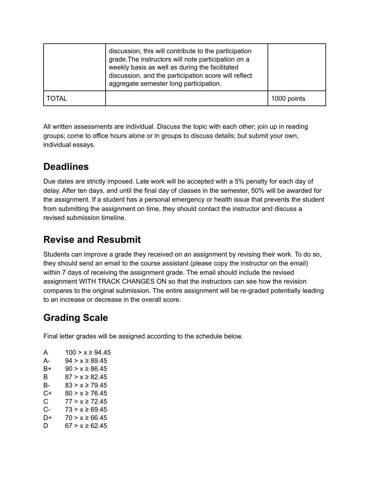|       | discussion; this will contribute to the participation<br>grade. The instructors will note participation on a<br>weekly basis as well as during the facilitated<br>discussion, and the participation score will reflect<br>aggregate semester long participation. |             |
|-------|------------------------------------------------------------------------------------------------------------------------------------------------------------------------------------------------------------------------------------------------------------------|-------------|
| TOTAL |                                                                                                                                                                                                                                                                  | 1000 points |

All written assessments are individual. Discuss the topic with each other; join up in reading groups; come to office hours alone or in groups to discuss details; but submit your own, individual essays.

#### **Deadlines**

Due dates are strictly imposed. Late work will be accepted with a 5% penalty for each day of delay. After ten days, and until the final day of classes in the semester, 50% will be awarded for the assignment. If a student has a personal emergency or health issue that prevents the student from submitting the assignment on time, they should contact the instructor and discuss a revised submission timeline.

#### **Revise and Resubmit**

Students can improve a grade they received on an assignment by revising their work. To do so, they should send an email to the course assistant (please copy the instructor on the email) within 7 days of receiving the assignment grade. The email should include the revised assignment WITH TRACK CHANGES ON so that the instructors can see how the revision compares to the original submission. The entire assignment will be re-graded potentially leading to an increase or decrease in the overall score.

## **Grading Scale**

Final letter grades will be assigned according to the schedule below.

| A  | $100 > x \ge 94.45$ |
|----|---------------------|
| А- | $94 > x \ge 89.45$  |
| B+ | $90 > x \ge 86.45$  |
| В  | $87 > x \ge 82.45$  |
| В- | $83 > x \ge 79.45$  |
| C+ | $80 > x \ge 76.45$  |
| C. | $77 > x \ge 72.45$  |
| C- | $73 > x \ge 69.45$  |
| D+ | $70 > x \ge 66.45$  |
| D  | 67 > x ≥ 62.45      |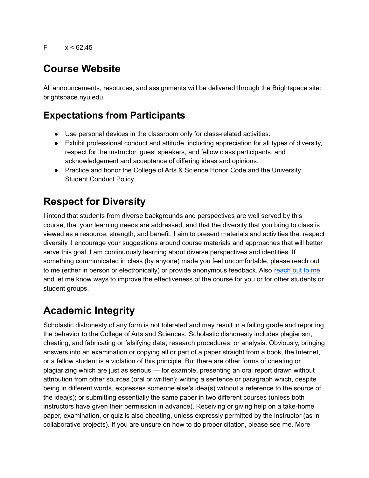#### **Course Website**

All announcements, resources, and assignments will be delivered through the Brightspace site: brightspace.nyu.edu

#### **Expectations from Participants**

- Use personal devices in the classroom only for class-related activities.
- Exhibit professional conduct and attitude, including appreciation for all types of diversity, respect for the instructor, guest speakers, and fellow class participants, and acknowledgement and acceptance of differing ideas and opinions.
- Practice and honor the College of Arts & Science Honor Code and the University Student Conduct Policy.

## **Respect for Diversity**

I intend that students from diverse backgrounds and perspectives are well served by this course, that your learning needs are addressed, and that the diversity that you bring to class is viewed as a resource, strength, and benefit. I aim to present materials and activities that respect diversity. I encourage your suggestions around course materials and approaches that will better serve this goal. I am continuously learning about diverse perspectives and identities. If something communicated in class (by anyone) made you feel uncomfortable, please reach out to me (either in person or electronically) or provide anonymous feedback. Also [reach](mailto:kimberly.carlson@nyu.edu) out to me and let me know ways to improve the effectiveness of the course for you or for other students or student groups.

## **Academic Integrity**

Scholastic dishonesty of any form is not tolerated and may result in a failing grade and reporting the behavior to the College of Arts and Sciences. Scholastic dishonesty includes plagiarism, cheating, and fabricating or falsifying data, research procedures, or analysis. Obviously, bringing answers into an examination or copying all or part of a paper straight from a book, the Internet, or a fellow student is a violation of this principle. But there are other forms of cheating or plagiarizing which are just as serious — for example, presenting an oral report drawn without attribution from other sources (oral or written); writing a sentence or paragraph which, despite being in different words, expresses someone else's idea(s) without a reference to the source of the idea(s); or submitting essentially the same paper in two different courses (unless both instructors have given their permission in advance). Receiving or giving help on a take-home paper, examination, or quiz is also cheating, unless expressly permitted by the instructor (as in collaborative projects). If you are unsure on how to do proper citation, please see me. More